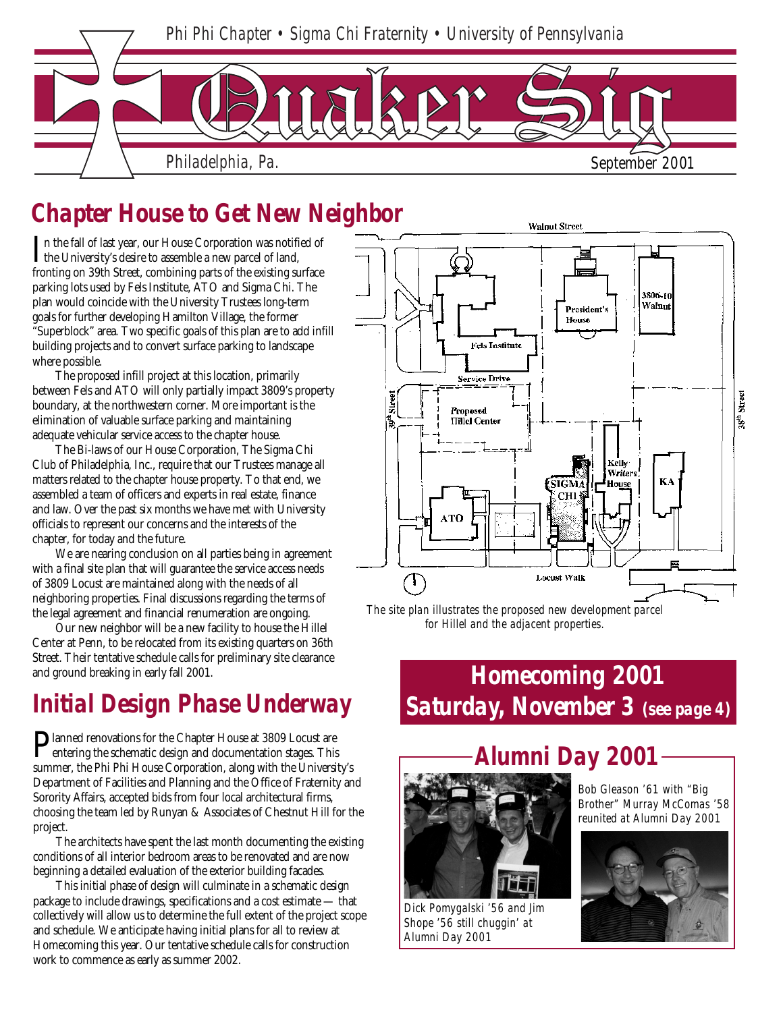

## *Chapter House to Get New Neighbor*

In the fall of last year, our House Corporation was notified the University's desire to assemble a new parcel of land, n the fall of last year, our House Corporation was notified of fronting on 39th Street, combining parts of the existing surface parking lots used by Fels Institute, ATO and Sigma Chi. The plan would coincide with the University Trustees long-term goals for further developing Hamilton Village, the former "Superblock" area. Two specific goals of this plan are to add infill building projects and to convert surface parking to landscape where possible.

The proposed infill project at this location, primarily between Fels and ATO will only partially impact 3809's property boundary, at the northwestern corner. More important is the elimination of valuable surface parking and maintaining adequate vehicular service access to the chapter house.

The Bi-laws of our House Corporation, The Sigma Chi Club of Philadelphia, Inc., require that our Trustees manage all matters related to the chapter house property. To that end, we assembled a team of officers and experts in real estate, finance and law. Over the past six months we have met with University officials to represent our concerns and the interests of the chapter, for today and the future.

We are nearing conclusion on all parties being in agreement with a final site plan that will guarantee the service access needs of 3809 Locust are maintained along with the needs of all neighboring properties. Final discussions regarding the terms of the legal agreement and financial renumeration are ongoing.

Our new neighbor will be a new facility to house the Hillel Center at Penn, to be relocated from its existing quarters on 36th Street. Their tentative schedule calls for preliminary site clearance and ground breaking in early fall 2001.

## *Initial Design Phase Underway*

Planned renovations for the Chapter House at 3809 Locust are<br>entering the schematic design and documentation stages. This entering the schematic design and documentation stages. This summer, the Phi Phi House Corporation, along with the University's Department of Facilities and Planning and the Office of Fraternity and Sorority Affairs, accepted bids from four local architectural firms, choosing the team led by Runyan & Associates of Chestnut Hill for the project.

The architects have spent the last month documenting the existing conditions of all interior bedroom areas to be renovated and are now beginning a detailed evaluation of the exterior building facades.

work to commence as early as summer 2002. This initial phase of design will culminate in a schematic design package to include drawings, specifications and a cost estimate — that collectively will allow us to determine the full extent of the project scope and schedule. We anticipate having initial plans for all to review at Homecoming this year. Our tentative schedule calls for construction



*The site plan illustrates the proposed new development parcel for Hillel and the adjacent properties.*

### *Homecoming 2001 Saturday, November 3 (see page 4)*



*Dick Pomygalski '56 and Jim Shope '56 still chuggin' at Alumni Day 2001*

*Bob Gleason '61 with "Big Brother" Murray McComas '58 reunited at Alumni Day 2001*

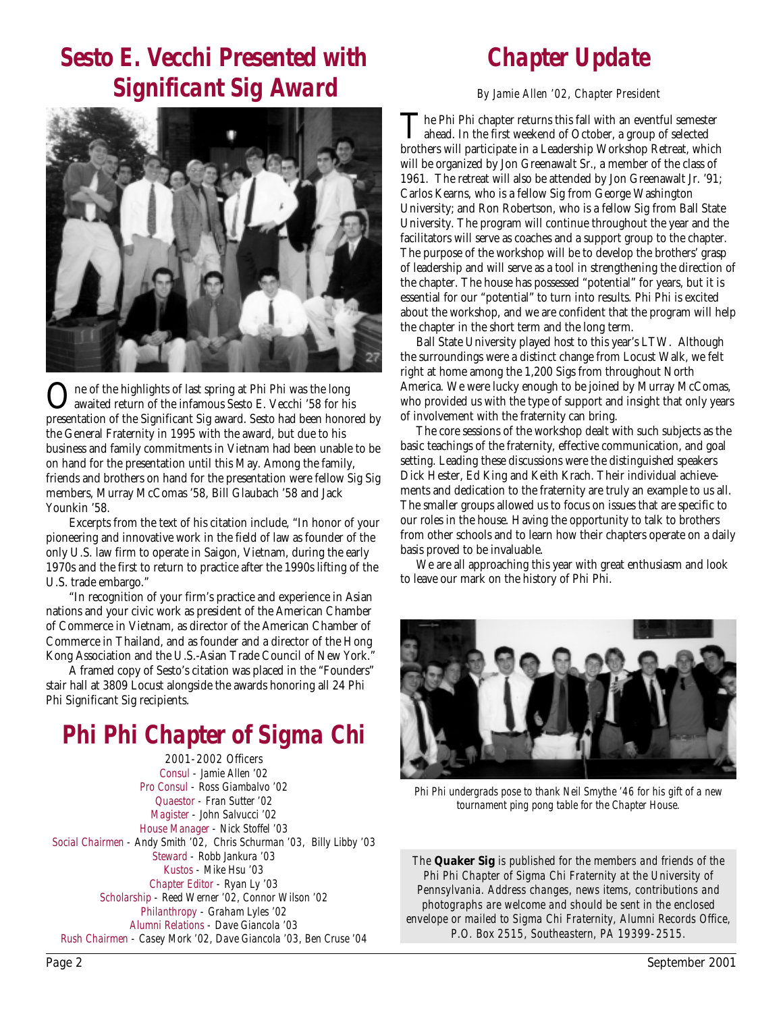### *Sesto E. Vecchi Presented with Significant Sig Award*

# *Chapter Update*

*By Jamie Allen '02, Chapter President*



ne of the highlights of last spring at Phi Phi was the long awaited return of the infamous Sesto E. Vecchi '58 for his presentation of the Significant Sig award. Sesto had been honored by the General Fraternity in 1995 with the award, but due to his business and family commitments in Vietnam had been unable to be on hand for the presentation until this May. Among the family, friends and brothers on hand for the presentation were fellow Sig Sig members, Murray McComas '58, Bill Glaubach '58 and Jack Younkin '58.

Excerpts from the text of his citation include, "In honor of your pioneering and innovative work in the field of law as founder of the only U.S. law firm to operate in Saigon, Vietnam, during the early 1970s and the first to return to practice after the 1990s lifting of the U.S. trade embargo."

"In recognition of your firm's practice and experience in Asian nations and your civic work as president of the American Chamber of Commerce in Vietnam, as director of the American Chamber of Commerce in Thailand, and as founder and a director of the Hong Kong Association and the U.S.-Asian Trade Council of New York."

A framed copy of Sesto's citation was placed in the "Founders" stair hall at 3809 Locust alongside the awards honoring all 24 Phi Phi Significant Sig recipients.

### *Phi Phi Chapter of Sigma Chi*

*2001-2002 Officers Consul - Jamie Allen '02 Pro Consul - Ross Giambalvo '02 Quaestor - Fran Sutter '02 Magister - John Salvucci '02 House Manager - Nick Stoffel '03 Social Chairmen - Andy Smith '02, Chris Schurman '03, Billy Libby '03 Steward - Robb Jankura '03 Kustos - Mike Hsu '03 Chapter Editor - Ryan Ly '03 Scholarship - Reed Werner '02, Connor Wilson '02 Philanthropy - Graham Lyles '02 Alumni Relations - Dave Giancola '03 Rush Chairmen - Casey Mork '02, Dave Giancola '03, Ben Cruse '04*

The Phi Phi chapter returns this fall with an eventful semester ahead. In the first weekend of October, a group of selected brothers will participate in a Leadership Workshop Retreat, which will be organized by Jon Greenawalt Sr., a member of the class of 1961. The retreat will also be attended by Jon Greenawalt Jr. '91; Carlos Kearns, who is a fellow Sig from George Washington University; and Ron Robertson, who is a fellow Sig from Ball State University. The program will continue throughout the year and the facilitators will serve as coaches and a support group to the chapter. The purpose of the workshop will be to develop the brothers' grasp of leadership and will serve as a tool in strengthening the direction of the chapter. The house has possessed "potential" for years, but it is essential for our "potential" to turn into results. Phi Phi is excited about the workshop, and we are confident that the program will help the chapter in the short term and the long term.

 Ball State University played host to this year's LTW. Although the surroundings were a distinct change from Locust Walk, we felt right at home among the 1,200 Sigs from throughout North America. We were lucky enough to be joined by Murray McComas, who provided us with the type of support and insight that only years of involvement with the fraternity can bring.

 The core sessions of the workshop dealt with such subjects as the basic teachings of the fraternity, effective communication, and goal setting. Leading these discussions were the distinguished speakers Dick Hester, Ed King and Keith Krach. Their individual achievements and dedication to the fraternity are truly an example to us all. The smaller groups allowed us to focus on issues that are specific to our roles in the house. Having the opportunity to talk to brothers from other schools and to learn how their chapters operate on a daily basis proved to be invaluable.

 We are all approaching this year with great enthusiasm and look to leave our mark on the history of Phi Phi.



*Phi Phi undergrads pose to thank Neil Smythe '46 for his gift of a new tournament ping pong table for the Chapter House.*

*The* **Quaker Sig** *is published for the members and friends of the Phi Phi Chapter of Sigma Chi Fraternity at the University of Pennsylvania. Address changes, news items, contributions and photographs are welcome and should be sent in the enclosed envelope or mailed to Sigma Chi Fraternity, Alumni Records Office, P.O. Box 2515, Southeastern, PA 19399-2515.*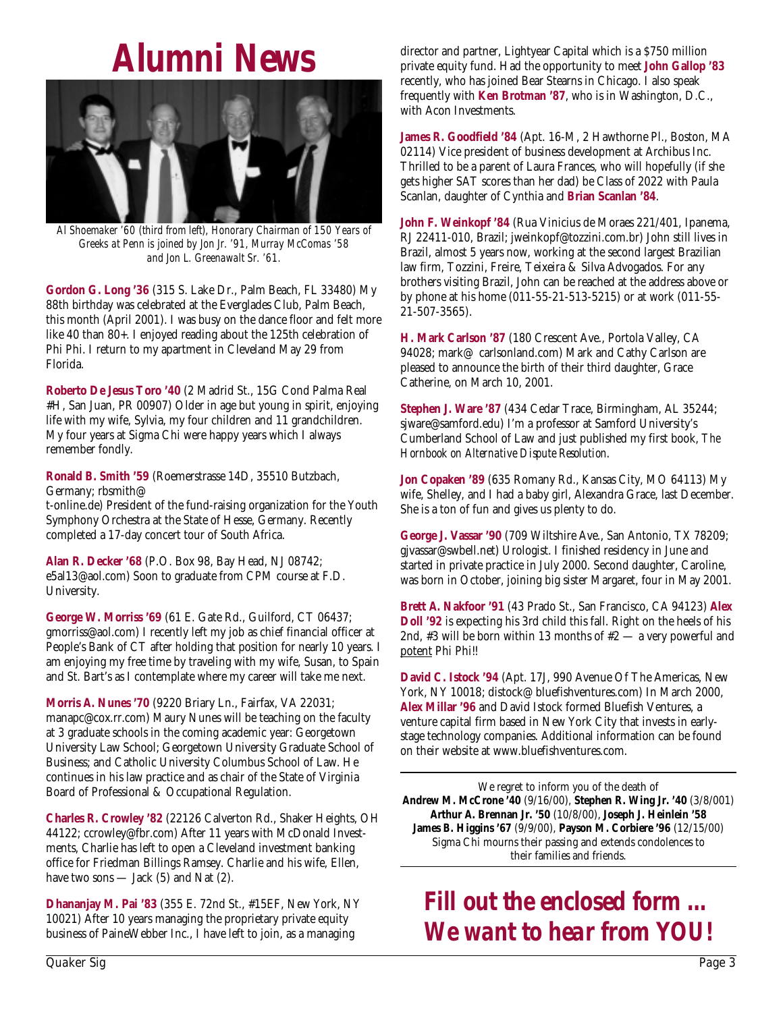# *Alumni News*



*Al Shoemaker '60 (third from left), Honorary Chairman of 150 Years of Greeks at Penn is joined by Jon Jr. '91, Murray McComas '58 and Jon L. Greenawalt Sr. '61.*

**Gordon G. Long '36** (315 S. Lake Dr., Palm Beach, FL 33480) My 88th birthday was celebrated at the Everglades Club, Palm Beach, this month (April 2001). I was busy on the dance floor and felt more like 40 than 80+. I enjoyed reading about the 125th celebration of Phi Phi. I return to my apartment in Cleveland May 29 from Florida.

**Roberto De Jesus Toro '40** (2 Madrid St., 15G Cond Palma Real #H, San Juan, PR 00907) Older in age but young in spirit, enjoying life with my wife, Sylvia, my four children and 11 grandchildren. My four years at Sigma Chi were happy years which I always remember fondly.

**Ronald B. Smith '59** (Roemerstrasse 14D, 35510 Butzbach, Germany; rbsmith@

t-online.de) President of the fund-raising organization for the Youth Symphony Orchestra at the State of Hesse, Germany. Recently completed a 17-day concert tour of South Africa.

**Alan R. Decker '68** (P.O. Box 98, Bay Head, NJ 08742; e5al13@aol.com) Soon to graduate from CPM course at F.D. University.

**George W. Morriss '69** (61 E. Gate Rd., Guilford, CT 06437; gmorriss@aol.com) I recently left my job as chief financial officer at People's Bank of CT after holding that position for nearly 10 years. I am enjoying my free time by traveling with my wife, Susan, to Spain and St. Bart's as I contemplate where my career will take me next.

**Morris A. Nunes '70** (9220 Briary Ln., Fairfax, VA 22031; manapc@cox.rr.com) Maury Nunes will be teaching on the faculty at 3 graduate schools in the coming academic year: Georgetown University Law School; Georgetown University Graduate School of Business; and Catholic University Columbus School of Law. He continues in his law practice and as chair of the State of Virginia Board of Professional & Occupational Regulation.

**Charles R. Crowley '82** (22126 Calverton Rd., Shaker Heights, OH 44122; ccrowley@fbr.com) After 11 years with McDonald Investments, Charlie has left to open a Cleveland investment banking office for Friedman Billings Ramsey. Charlie and his wife, Ellen, have two sons — Jack  $(5)$  and Nat  $(2)$ .

**Dhananjay M. Pai '83** (355 E. 72nd St., #15EF, New York, NY 10021) After 10 years managing the proprietary private equity business of PaineWebber Inc., I have left to join, as a managing

director and partner, Lightyear Capital which is a \$750 million private equity fund. Had the opportunity to meet **John Gallop '83** recently, who has joined Bear Stearns in Chicago. I also speak frequently with **Ken Brotman '87**, who is in Washington, D.C., with Acon Investments.

**James R. Goodfield '84** (Apt. 16-M, 2 Hawthorne Pl., Boston, MA 02114) Vice president of business development at Archibus Inc. Thrilled to be a parent of Laura Frances, who will hopefully (if she gets higher SAT scores than her dad) be Class of 2022 with Paula Scanlan, daughter of Cynthia and **Brian Scanlan '84**.

**John F. Weinkopf '84** (Rua Vinicius de Moraes 221/401, Ipanema, RJ 22411-010, Brazil; jweinkopf@tozzini.com.br) John still lives in Brazil, almost 5 years now, working at the second largest Brazilian law firm, Tozzini, Freire, Teixeira & Silva Advogados. For any brothers visiting Brazil, John can be reached at the address above or by phone at his home (011-55-21-513-5215) or at work (011-55- 21-507-3565).

**H. Mark Carlson '87** (180 Crescent Ave., Portola Valley, CA 94028; mark@ carlsonland.com) Mark and Cathy Carlson are pleased to announce the birth of their third daughter, Grace Catherine, on March 10, 2001.

**Stephen J. Ware '87** (434 Cedar Trace, Birmingham, AL 35244; sjware@samford.edu) I'm a professor at Samford University's Cumberland School of Law and just published my first book, *The Hornbook on Alternative Dispute Resolution*.

**Jon Copaken '89** (635 Romany Rd., Kansas City, MO 64113) My wife, Shelley, and I had a baby girl, Alexandra Grace, last December. She is a ton of fun and gives us plenty to do.

**George J. Vassar '90** (709 Wiltshire Ave., San Antonio, TX 78209; gjvassar@swbell.net) Urologist. I finished residency in June and started in private practice in July 2000. Second daughter, Caroline, was born in October, joining big sister Margaret, four in May 2001.

**Brett A. Nakfoor '91** (43 Prado St., San Francisco, CA 94123) **Alex Doll '92** is expecting his 3rd child this fall. Right on the heels of his 2nd, #3 will be born within 13 months of  $#2 - a$  very powerful and potent Phi Phi!!

**David C. Istock '94** (Apt. 17J, 990 Avenue Of The Americas, New York, NY 10018; distock@ bluefishventures.com) In March 2000, **Alex Millar '96** and David Istock formed Bluefish Ventures, a venture capital firm based in New York City that invests in earlystage technology companies. Additional information can be found on their website at www.bluefishventures.com.

We regret to inform you of the death of **Andrew M. McCrone '40** (9/16/00), **Stephen R. Wing Jr. '40** (3/8/001) **Arthur A. Brennan Jr. '50** (10/8/00), **Joseph J. Heinlein '58 James B. Higgins '67** (9/9/00), **Payson M. Corbiere '96** (12/15/00) Sigma Chi mourns their passing and extends condolences to their families and friends.

## *Fill out the enclosed form … We want to hear from YOU!*